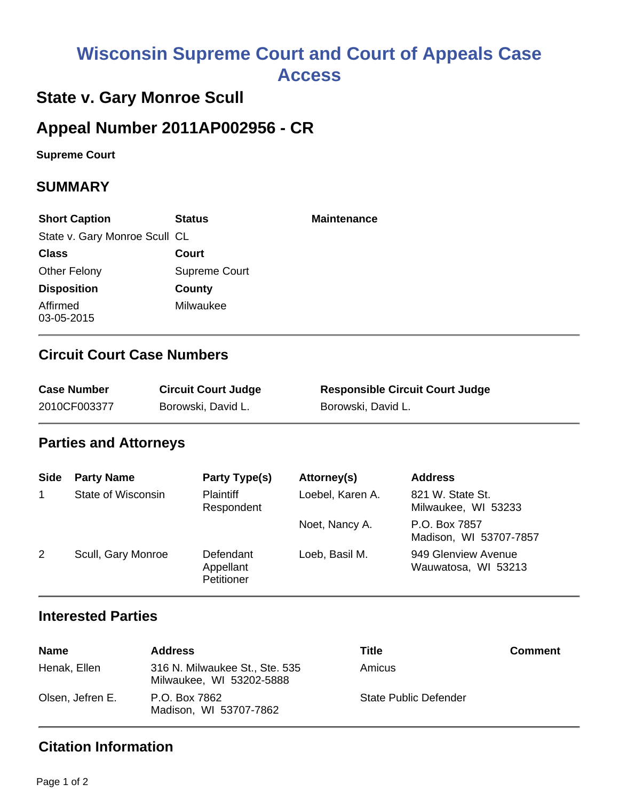# **Wisconsin Supreme Court and Court of Appeals Case Access**

# **State v. Gary Monroe Scull**

## **Appeal Number 2011AP002956 - CR**

**Supreme Court** 

#### **SUMMARY**

| <b>Short Caption</b>          | <b>Status</b> | <b>Maintenance</b> |
|-------------------------------|---------------|--------------------|
| State v. Gary Monroe Scull CL |               |                    |
| <b>Class</b>                  | Court         |                    |
| <b>Other Felony</b>           | Supreme Court |                    |
| <b>Disposition</b>            | County        |                    |
| Affirmed<br>03-05-2015        | Milwaukee     |                    |

### **Circuit Court Case Numbers**

| <b>Case Number</b> | <b>Circuit Court Judge</b> | <b>Responsible Circuit Court Judge</b> |
|--------------------|----------------------------|----------------------------------------|
| 2010CF003377       | Borowski, David L.         | Borowski, David L.                     |

#### **Parties and Attorneys**

| <b>Side</b> | <b>Party Name</b>  | <b>Party Type(s)</b>                 | Attorney(s)      | <b>Address</b>                             |
|-------------|--------------------|--------------------------------------|------------------|--------------------------------------------|
| 1           | State of Wisconsin | <b>Plaintiff</b><br>Respondent       | Loebel, Karen A. | 821 W. State St.<br>Milwaukee, WI 53233    |
|             |                    |                                      | Noet, Nancy A.   | P.O. Box 7857<br>Madison, WI 53707-7857    |
| 2           | Scull, Gary Monroe | Defendant<br>Appellant<br>Petitioner | Loeb, Basil M.   | 949 Glenview Avenue<br>Wauwatosa, WI 53213 |

#### **Interested Parties**

| <b>Name</b>      | <b>Address</b>                                             | Title                 | <b>Comment</b> |
|------------------|------------------------------------------------------------|-----------------------|----------------|
| Henak, Ellen     | 316 N. Milwaukee St., Ste. 535<br>Milwaukee, WI 53202-5888 | Amicus                |                |
| Olsen, Jefren E. | P.O. Box 7862<br>Madison, WI 53707-7862                    | State Public Defender |                |

### **Citation Information**